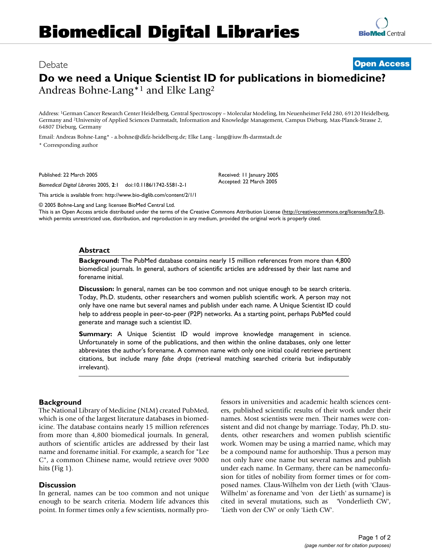# Debate **Open Access Do we need a Unique Scientist ID for publications in biomedicine?**

Received: 11 January 2005 Accepted: 22 March 2005

Andreas Bohne-Lang\*1 and Elke Lang2

Address: 1German Cancer Research Center Heidelberg, Central Spectroscopy – Molecular Modeling, Im Neuenheimer Feld 280, 69120 Heidelberg, Germany and 2University of Applied Sciences Darmstadt, Information and Knowledge Management, Campus Dieburg, Max-Planck-Strasse 2, 64807 Dieburg, Germany

Email: Andreas Bohne-Lang\* - a.bohne@dkfz-heidelberg.de; Elke Lang - lang@iuw.fh-darmstadt.de

\* Corresponding author

Published: 22 March 2005

*Biomedical Digital Libraries* 2005, **2**:1 doi:10.1186/1742-5581-2-1

This article is available from: http://www.bio-diglib.com/content/2/1/1

© 2005 Bohne-Lang and Lang; licensee BioMed Central Ltd.

This is an Open Access article distributed under the terms of the Creative Commons Attribution License (http://creativecommons.org/licenses/by/2.0), which permits unrestricted use, distribution, and reproduction in any medium, provided the original work is properly cited.

#### **Abstract**

**Background:** The PubMed database contains nearly 15 million references from more than 4,800 biomedical journals. In general, authors of scientific articles are addressed by their last name and forename initial.

**Discussion:** In general, names can be too common and not unique enough to be search criteria. Today, Ph.D. students, other researchers and women publish scientific work. A person may not only have one name but several names and publish under each name. A Unique Scientist ID could help to address people in peer-to-peer (P2P) networks. As a starting point, perhaps PubMed could generate and manage such a scientist ID.

**Summary:** A Unique Scientist ID would improve knowledge management in science. Unfortunately in some of the publications, and then within the online databases, only one letter abbreviates the author's forename. A common name with only one initial could retrieve pertinent citations, but include many *false drops* (retrieval matching searched criteria but indisputably irrelevant).

## **Background**

The National Library of Medicine (NLM) created PubMed, which is one of the largest literature databases in biomedicine. The database contains nearly 15 million references from more than 4,800 biomedical journals. In general, authors of scientific articles are addressed by their last name and forename initial. For example, a search for "Lee C", a common Chinese name, would retrieve over 9000 hits (Fig 1).

## **Discussion**

In general, names can be too common and not unique enough to be search criteria. Modern life advances this point. In former times only a few scientists, normally professors in universities and academic health sciences centers, published scientific results of their work under their names. Most scientists were men. Their names were consistent and did not change by marriage. Today, Ph.D. students, other researchers and women publish scientific work. Women may be using a married name, which may be a compound name for authorship. Thus a person may not only have one name but several names and publish under each name. In Germany, there can be nameconfusion for titles of nobility from former times or for composed names. Claus-Wilhelm von der Lieth (with 'Claus-Wilhelm' as forename and 'von der Lieth' as surname) is cited in several mutations, such as 'Vonderlieth CW', 'Lieth von der CW' or only 'Lieth CW'.